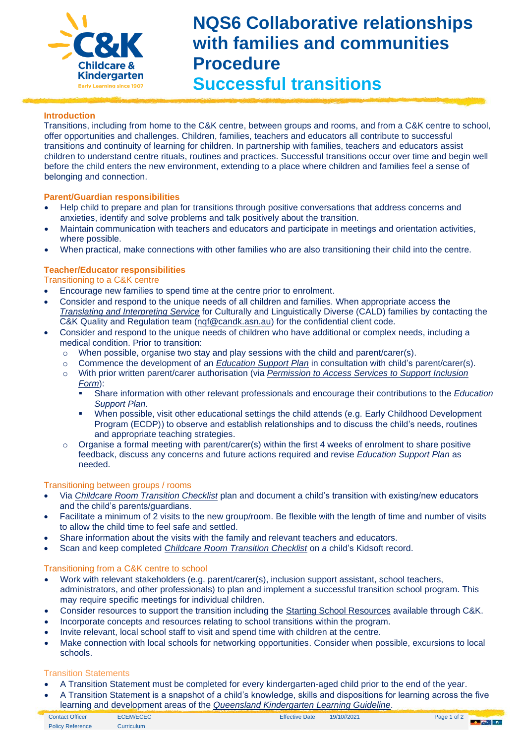

# **NQS6 Collaborative relationships with families and communities Procedure Successful transitions**

## **Introduction**

Transitions, including from home to the C&K centre, between groups and rooms, and from a C&K centre to school, offer opportunities and challenges. Children, families, teachers and educators all contribute to successful transitions and continuity of learning for children. In partnership with families, teachers and educators assist children to understand centre rituals, routines and practices. Successful transitions occur over time and begin well before the child enters the new environment, extending to a place where children and families feel a sense of belonging and connection.

## **Parent/Guardian responsibilities**

- Help child to prepare and plan for transitions through positive conversations that address concerns and anxieties, identify and solve problems and talk positively about the transition.
- Maintain communication with teachers and educators and participate in meetings and orientation activities, where possible.
- When practical, make connections with other families who are also transitioning their child into the centre.

## **Teacher/Educator responsibilities**

### Transitioning to a C&K centre

- Encourage new families to spend time at the centre prior to enrolment.
- Consider and respond to the unique needs of all children and families. When appropriate access the *[Translating and Interpreting Service](https://www.tisnational.gov.au/en)* for Culturally and Linguistically Diverse (CALD) families by contacting the C&K Quality and Regulation team [\(nqf@candk.asn.au\)](mailto:nqf@candk.asn.au) for the confidential client code.
- Consider and respond to the unique needs of children who have additional or complex needs, including a medical condition. Prior to transition:
	- o When possible, organise two stay and play sessions with the child and parent/carer(s).
	- o Commence the development of an *[Education Support Plan](https://crecheandkindergarten.sharepoint.com/:w:/r/policies/Documents/Education%20Support%20Plan%20Form.docx?d=w760a90127ec0435b8e1930e266bf4ef9&csf=1&web=1&e=4Je5ng)* in consultation with child's parent/carer(s).
	- o With prior written parent/carer authorisation (via *[Permission to Access Services to Support Inclusion](https://crecheandkindergarten.sharepoint.com/:b:/r/policies/Documents/Permission%20to%20access%20services%20to%20support%20inclusion%20Form.pdf?csf=1&web=1&e=pZg1GF)  [Form](https://crecheandkindergarten.sharepoint.com/:b:/r/policies/Documents/Permission%20to%20access%20services%20to%20support%20inclusion%20Form.pdf?csf=1&web=1&e=pZg1GF)*):
		- Share information with other relevant professionals and encourage their contributions to the *Education Support Plan*.
		- When possible, visit other educational settings the child attends (e.g. Early Childhood Development Program (ECDP)) to observe and establish relationships and to discuss the child's needs, routines and appropriate teaching strategies.
	- $\circ$  Organise a formal meeting with parent/carer(s) within the first 4 weeks of enrolment to share positive feedback, discuss any concerns and future actions required and revise *Education Support Plan* as needed.

#### Transitioning between groups / rooms

- Via *[Childcare Room Transition Checklist](https://crecheandkindergarten.sharepoint.com/:w:/r/policies/Documents/Childcare%20Room%20Transition%20checklist%20Form.dotx?d=wf7675887c2f746ff8a9bf4f9e484101a&csf=1&web=1&e=3hqyVl)* plan and document a child's transition with existing/new educators and the child's parents/guardians.
- Facilitate a minimum of 2 visits to the new group/room. Be flexible with the length of time and number of visits to allow the child time to feel safe and settled.
- Share information about the visits with the family and relevant teachers and educators.
- Scan and keep completed *[Childcare Room Transition Checklist](https://crecheandkindergarten.sharepoint.com/:w:/r/policies/Documents/Childcare%20Room%20Transition%20checklist%20Form.dotx?d=wf7675887c2f746ff8a9bf4f9e484101a&csf=1&web=1&e=3hqyVl)* on *a* child's Kidsoft record.

#### Transitioning from a C&K centre to school

- Work with relevant stakeholders (e.g. parent/carer(s), inclusion support assistant, school teachers, administrators, and other professionals) to plan and implement a successful transition school program. This may require specific meetings for individual children.
- Consider resources to support the transition including the [Starting School Resources](https://crecheandkindergarten.sharepoint.com/depts/finance/Shared%20Documents/Forms/AllItems.aspx?id=%2Fdepts%2Ffinance%2FShared%20Documents%2FResources%20order%20form%202020%5Fspecial%20pricing%2Epdf&parent=%2Fdepts%2Ffinance%2FShared%20Documents) available through C&K.
- Incorporate concepts and resources relating to school transitions within the program.
- Invite relevant, local school staff to visit and spend time with children at the centre.
- Make connection with local schools for networking opportunities. Consider when possible, excursions to local schools.

#### Transition Statements

- A Transition Statement must be completed for every kindergarten-aged child prior to the end of the year.
- A Transition Statement is a snapshot of a child's knowledge, skills and dispositions for learning across the five learning and development areas of the *[Queensland Kindergarten Learning Guideline](https://www.qcaa.qld.edu.au/kindergarten/qklg)*.

| <b>Contact Officer</b>  | <b>ECEM/ECEC</b> | <b>Effective Date</b> | 19/10//2021 | Page 1 of 2 | <b>The Second State</b> |
|-------------------------|------------------|-----------------------|-------------|-------------|-------------------------|
| <b>Policy Reference</b> | Curriculum       |                       |             |             |                         |